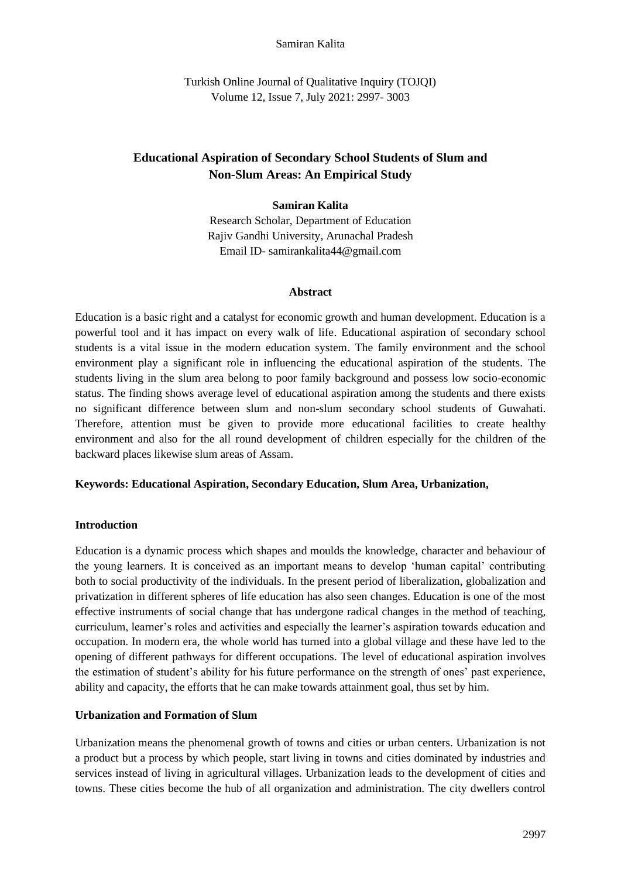#### Samiran Kalita

Turkish Online Journal of Qualitative Inquiry (TOJQI) Volume 12, Issue 7, July 2021: 2997- 3003

# **Educational Aspiration of Secondary School Students of Slum and Non-Slum Areas: An Empirical Study**

#### **Samiran Kalita**

Research Scholar, Department of Education Rajiv Gandhi University, Arunachal Pradesh Email ID- samirankalita44@gmail.com

#### **Abstract**

Education is a basic right and a catalyst for economic growth and human development. Education is a powerful tool and it has impact on every walk of life. Educational aspiration of secondary school students is a vital issue in the modern education system. The family environment and the school environment play a significant role in influencing the educational aspiration of the students. The students living in the slum area belong to poor family background and possess low socio-economic status. The finding shows average level of educational aspiration among the students and there exists no significant difference between slum and non-slum secondary school students of Guwahati. Therefore, attention must be given to provide more educational facilities to create healthy environment and also for the all round development of children especially for the children of the backward places likewise slum areas of Assam.

#### **Keywords: Educational Aspiration, Secondary Education, Slum Area, Urbanization,**

#### **Introduction**

Education is a dynamic process which shapes and moulds the knowledge, character and behaviour of the young learners. It is conceived as an important means to develop 'human capital' contributing both to social productivity of the individuals. In the present period of liberalization, globalization and privatization in different spheres of life education has also seen changes. Education is one of the most effective instruments of social change that has undergone radical changes in the method of teaching, curriculum, learner's roles and activities and especially the learner's aspiration towards education and occupation. In modern era, the whole world has turned into a global village and these have led to the opening of different pathways for different occupations. The level of educational aspiration involves the estimation of student's ability for his future performance on the strength of ones' past experience, ability and capacity, the efforts that he can make towards attainment goal, thus set by him.

# **Urbanization and Formation of Slum**

Urbanization means the phenomenal growth of towns and cities or urban centers. Urbanization is not a product but a process by which people, start living in towns and cities dominated by industries and services instead of living in agricultural villages. Urbanization leads to the development of cities and towns. These cities become the hub of all organization and administration. The city dwellers control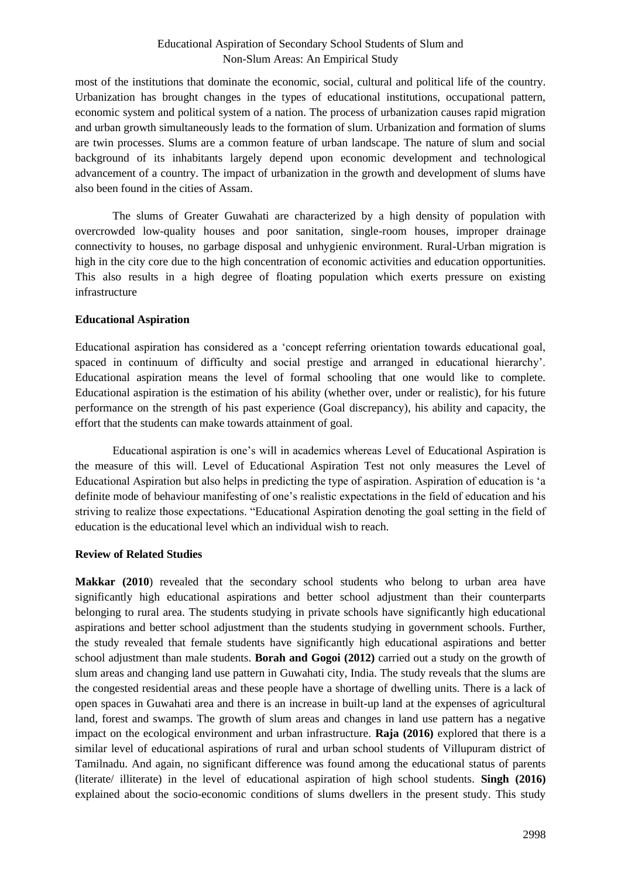# Educational Aspiration of Secondary School Students of Slum and Non-Slum Areas: An Empirical Study

most of the institutions that dominate the economic, social, cultural and political life of the country. Urbanization has brought changes in the types of educational institutions, occupational pattern, economic system and political system of a nation. The process of urbanization causes rapid migration and urban growth simultaneously leads to the formation of slum. Urbanization and formation of slums are twin processes. Slums are a common feature of urban landscape. The nature of slum and social background of its inhabitants largely depend upon economic development and technological advancement of a country. The impact of urbanization in the growth and development of slums have also been found in the cities of Assam.

The slums of Greater Guwahati are characterized by a high density of population with overcrowded low-quality houses and poor sanitation, single-room houses, improper drainage connectivity to houses, no garbage disposal and unhygienic environment. Rural-Urban migration is high in the city core due to the high concentration of economic activities and education opportunities. This also results in a high degree of floating population which exerts pressure on existing infrastructure

# **Educational Aspiration**

Educational aspiration has considered as a 'concept referring orientation towards educational goal, spaced in continuum of difficulty and social prestige and arranged in educational hierarchy'. Educational aspiration means the level of formal schooling that one would like to complete. Educational aspiration is the estimation of his ability (whether over, under or realistic), for his future performance on the strength of his past experience (Goal discrepancy), his ability and capacity, the effort that the students can make towards attainment of goal.

Educational aspiration is one's will in academics whereas Level of Educational Aspiration is the measure of this will. Level of Educational Aspiration Test not only measures the Level of Educational Aspiration but also helps in predicting the type of aspiration. Aspiration of education is 'a definite mode of behaviour manifesting of one's realistic expectations in the field of education and his striving to realize those expectations. "Educational Aspiration denoting the goal setting in the field of education is the educational level which an individual wish to reach.

# **Review of Related Studies**

**Makkar (2010**) revealed that the secondary school students who belong to urban area have significantly high educational aspirations and better school adjustment than their counterparts belonging to rural area. The students studying in private schools have significantly high educational aspirations and better school adjustment than the students studying in government schools. Further, the study revealed that female students have significantly high educational aspirations and better school adjustment than male students. **Borah and Gogoi (2012)** carried out a study on the growth of slum areas and changing land use pattern in Guwahati city, India. The study reveals that the slums are the congested residential areas and these people have a shortage of dwelling units. There is a lack of open spaces in Guwahati area and there is an increase in built-up land at the expenses of agricultural land, forest and swamps. The growth of slum areas and changes in land use pattern has a negative impact on the ecological environment and urban infrastructure. **Raja (2016)** explored that there is a similar level of educational aspirations of rural and urban school students of Villupuram district of Tamilnadu. And again, no significant difference was found among the educational status of parents (literate/ illiterate) in the level of educational aspiration of high school students. **Singh (2016)** explained about the socio-economic conditions of slums dwellers in the present study. This study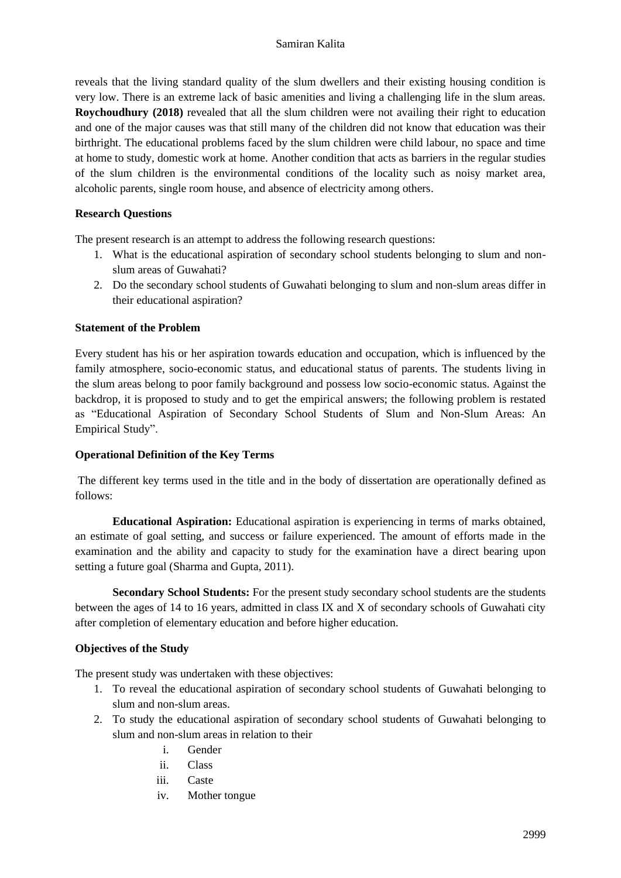reveals that the living standard quality of the slum dwellers and their existing housing condition is very low. There is an extreme lack of basic amenities and living a challenging life in the slum areas. **Roychoudhury (2018)** revealed that all the slum children were not availing their right to education and one of the major causes was that still many of the children did not know that education was their birthright. The educational problems faced by the slum children were child labour, no space and time at home to study, domestic work at home. Another condition that acts as barriers in the regular studies of the slum children is the environmental conditions of the locality such as noisy market area, alcoholic parents, single room house, and absence of electricity among others.

#### **Research Questions**

The present research is an attempt to address the following research questions:

- 1. What is the educational aspiration of secondary school students belonging to slum and nonslum areas of Guwahati?
- 2. Do the secondary school students of Guwahati belonging to slum and non-slum areas differ in their educational aspiration?

#### **Statement of the Problem**

Every student has his or her aspiration towards education and occupation, which is influenced by the family atmosphere, socio-economic status, and educational status of parents. The students living in the slum areas belong to poor family background and possess low socio-economic status. Against the backdrop, it is proposed to study and to get the empirical answers; the following problem is restated as "Educational Aspiration of Secondary School Students of Slum and Non-Slum Areas: An Empirical Study".

#### **Operational Definition of the Key Terms**

The different key terms used in the title and in the body of dissertation are operationally defined as follows:

**Educational Aspiration:** Educational aspiration is experiencing in terms of marks obtained, an estimate of goal setting, and success or failure experienced. The amount of efforts made in the examination and the ability and capacity to study for the examination have a direct bearing upon setting a future goal (Sharma and Gupta, 2011).

**Secondary School Students:** For the present study secondary school students are the students between the ages of 14 to 16 years, admitted in class IX and X of secondary schools of Guwahati city after completion of elementary education and before higher education.

# **Objectives of the Study**

The present study was undertaken with these objectives:

- 1. To reveal the educational aspiration of secondary school students of Guwahati belonging to slum and non-slum areas.
- 2. To study the educational aspiration of secondary school students of Guwahati belonging to slum and non-slum areas in relation to their
	- i. Gender
	- ii. Class
	- iii. Caste
	- iv. Mother tongue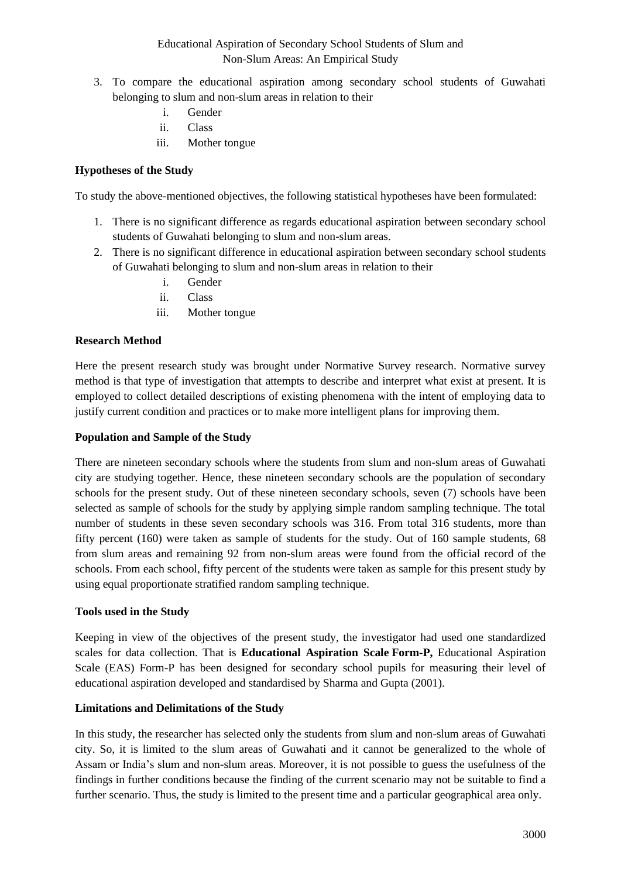# Educational Aspiration of Secondary School Students of Slum and Non-Slum Areas: An Empirical Study

- 3. To compare the educational aspiration among secondary school students of Guwahati belonging to slum and non-slum areas in relation to their
	- i. Gender
	- ii. Class
	- iii. Mother tongue

#### **Hypotheses of the Study**

To study the above-mentioned objectives, the following statistical hypotheses have been formulated:

- 1. There is no significant difference as regards educational aspiration between secondary school students of Guwahati belonging to slum and non-slum areas.
- 2. There is no significant difference in educational aspiration between secondary school students of Guwahati belonging to slum and non-slum areas in relation to their
	- i. Gender
	- ii. Class
	- iii. Mother tongue

#### **Research Method**

Here the present research study was brought under Normative Survey research. Normative survey method is that type of investigation that attempts to describe and interpret what exist at present. It is employed to collect detailed descriptions of existing phenomena with the intent of employing data to justify current condition and practices or to make more intelligent plans for improving them.

#### **Population and Sample of the Study**

There are nineteen secondary schools where the students from slum and non-slum areas of Guwahati city are studying together. Hence, these nineteen secondary schools are the population of secondary schools for the present study. Out of these nineteen secondary schools, seven (7) schools have been selected as sample of schools for the study by applying simple random sampling technique. The total number of students in these seven secondary schools was 316. From total 316 students, more than fifty percent (160) were taken as sample of students for the study. Out of 160 sample students, 68 from slum areas and remaining 92 from non-slum areas were found from the official record of the schools. From each school, fifty percent of the students were taken as sample for this present study by using equal proportionate stratified random sampling technique.

#### **Tools used in the Study**

Keeping in view of the objectives of the present study, the investigator had used one standardized scales for data collection. That is **Educational Aspiration Scale Form-P,** Educational Aspiration Scale (EAS) Form-P has been designed for secondary school pupils for measuring their level of educational aspiration developed and standardised by Sharma and Gupta (2001).

#### **Limitations and Delimitations of the Study**

In this study, the researcher has selected only the students from slum and non-slum areas of Guwahati city. So, it is limited to the slum areas of Guwahati and it cannot be generalized to the whole of Assam or India's slum and non-slum areas. Moreover, it is not possible to guess the usefulness of the findings in further conditions because the finding of the current scenario may not be suitable to find a further scenario. Thus, the study is limited to the present time and a particular geographical area only.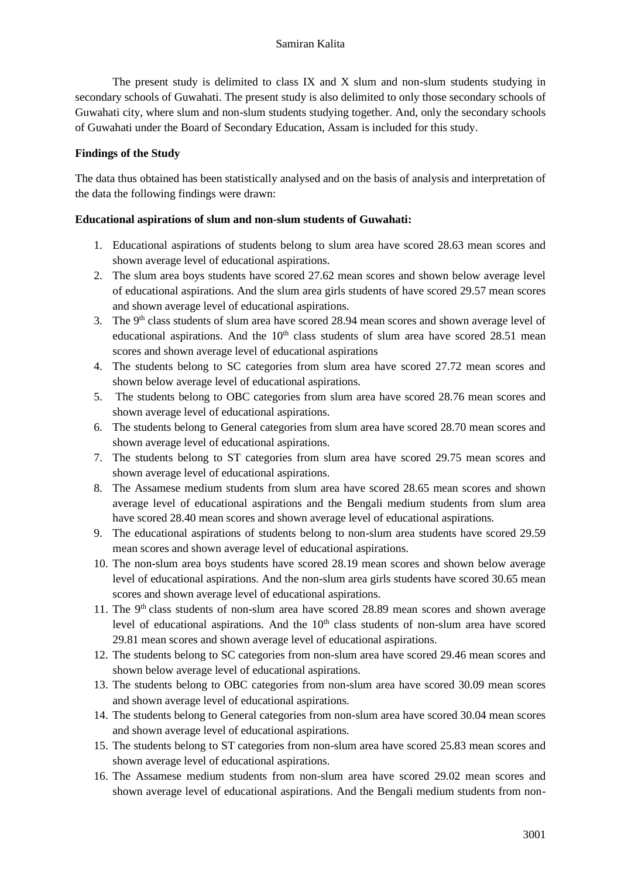The present study is delimited to class IX and X slum and non-slum students studying in secondary schools of Guwahati. The present study is also delimited to only those secondary schools of Guwahati city, where slum and non-slum students studying together. And, only the secondary schools of Guwahati under the Board of Secondary Education, Assam is included for this study.

# **Findings of the Study**

The data thus obtained has been statistically analysed and on the basis of analysis and interpretation of the data the following findings were drawn:

# **Educational aspirations of slum and non-slum students of Guwahati:**

- 1. Educational aspirations of students belong to slum area have scored 28.63 mean scores and shown average level of educational aspirations.
- 2. The slum area boys students have scored 27.62 mean scores and shown below average level of educational aspirations. And the slum area girls students of have scored 29.57 mean scores and shown average level of educational aspirations.
- 3. The 9<sup>th</sup> class students of slum area have scored 28.94 mean scores and shown average level of educational aspirations. And the  $10<sup>th</sup>$  class students of slum area have scored 28.51 mean scores and shown average level of educational aspirations
- 4. The students belong to SC categories from slum area have scored 27.72 mean scores and shown below average level of educational aspirations.
- 5. The students belong to OBC categories from slum area have scored 28.76 mean scores and shown average level of educational aspirations.
- 6. The students belong to General categories from slum area have scored 28.70 mean scores and shown average level of educational aspirations.
- 7. The students belong to ST categories from slum area have scored 29.75 mean scores and shown average level of educational aspirations.
- 8. The Assamese medium students from slum area have scored 28.65 mean scores and shown average level of educational aspirations and the Bengali medium students from slum area have scored 28.40 mean scores and shown average level of educational aspirations.
- 9. The educational aspirations of students belong to non-slum area students have scored 29.59 mean scores and shown average level of educational aspirations.
- 10. The non-slum area boys students have scored 28.19 mean scores and shown below average level of educational aspirations. And the non-slum area girls students have scored 30.65 mean scores and shown average level of educational aspirations.
- 11. The 9<sup>th</sup> class students of non-slum area have scored 28.89 mean scores and shown average level of educational aspirations. And the 10<sup>th</sup> class students of non-slum area have scored 29.81 mean scores and shown average level of educational aspirations.
- 12. The students belong to SC categories from non-slum area have scored 29.46 mean scores and shown below average level of educational aspirations.
- 13. The students belong to OBC categories from non-slum area have scored 30.09 mean scores and shown average level of educational aspirations.
- 14. The students belong to General categories from non-slum area have scored 30.04 mean scores and shown average level of educational aspirations.
- 15. The students belong to ST categories from non-slum area have scored 25.83 mean scores and shown average level of educational aspirations.
- 16. The Assamese medium students from non-slum area have scored 29.02 mean scores and shown average level of educational aspirations. And the Bengali medium students from non-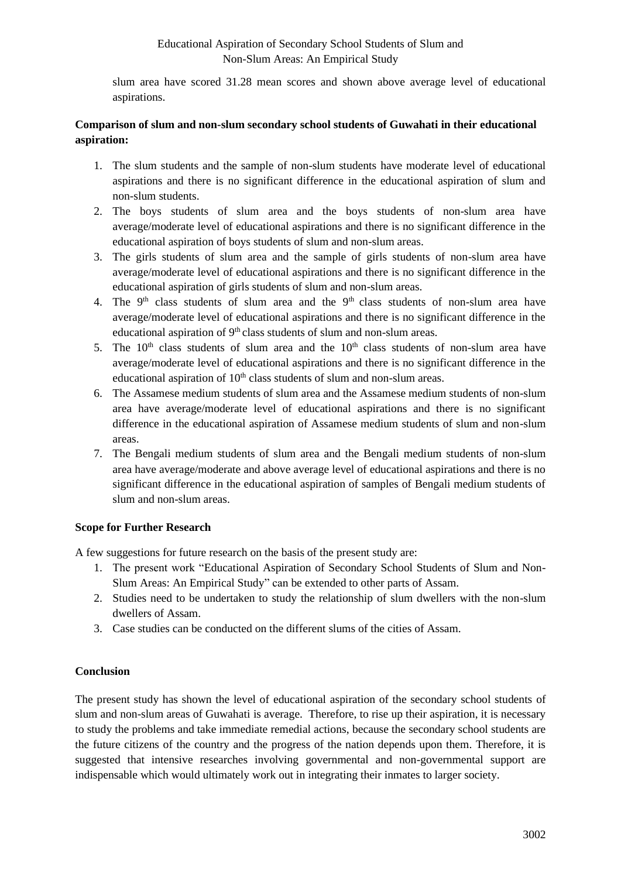# Educational Aspiration of Secondary School Students of Slum and Non-Slum Areas: An Empirical Study

slum area have scored 31.28 mean scores and shown above average level of educational aspirations.

# **Comparison of slum and non-slum secondary school students of Guwahati in their educational aspiration:**

- 1. The slum students and the sample of non-slum students have moderate level of educational aspirations and there is no significant difference in the educational aspiration of slum and non-slum students.
- 2. The boys students of slum area and the boys students of non-slum area have average/moderate level of educational aspirations and there is no significant difference in the educational aspiration of boys students of slum and non-slum areas.
- 3. The girls students of slum area and the sample of girls students of non-slum area have average/moderate level of educational aspirations and there is no significant difference in the educational aspiration of girls students of slum and non-slum areas.
- 4. The  $9<sup>th</sup>$  class students of slum area and the  $9<sup>th</sup>$  class students of non-slum area have average/moderate level of educational aspirations and there is no significant difference in the educational aspiration of  $9<sup>th</sup>$  class students of slum and non-slum areas.
- 5. The  $10<sup>th</sup>$  class students of slum area and the  $10<sup>th</sup>$  class students of non-slum area have average/moderate level of educational aspirations and there is no significant difference in the educational aspiration of  $10<sup>th</sup>$  class students of slum and non-slum areas.
- 6. The Assamese medium students of slum area and the Assamese medium students of non-slum area have average/moderate level of educational aspirations and there is no significant difference in the educational aspiration of Assamese medium students of slum and non-slum areas.
- 7. The Bengali medium students of slum area and the Bengali medium students of non-slum area have average/moderate and above average level of educational aspirations and there is no significant difference in the educational aspiration of samples of Bengali medium students of slum and non-slum areas.

# **Scope for Further Research**

A few suggestions for future research on the basis of the present study are:

- 1. The present work "Educational Aspiration of Secondary School Students of Slum and Non-Slum Areas: An Empirical Study" can be extended to other parts of Assam.
- 2. Studies need to be undertaken to study the relationship of slum dwellers with the non-slum dwellers of Assam.
- 3. Case studies can be conducted on the different slums of the cities of Assam.

# **Conclusion**

The present study has shown the level of educational aspiration of the secondary school students of slum and non-slum areas of Guwahati is average. Therefore, to rise up their aspiration, it is necessary to study the problems and take immediate remedial actions, because the secondary school students are the future citizens of the country and the progress of the nation depends upon them. Therefore, it is suggested that intensive researches involving governmental and non-governmental support are indispensable which would ultimately work out in integrating their inmates to larger society.